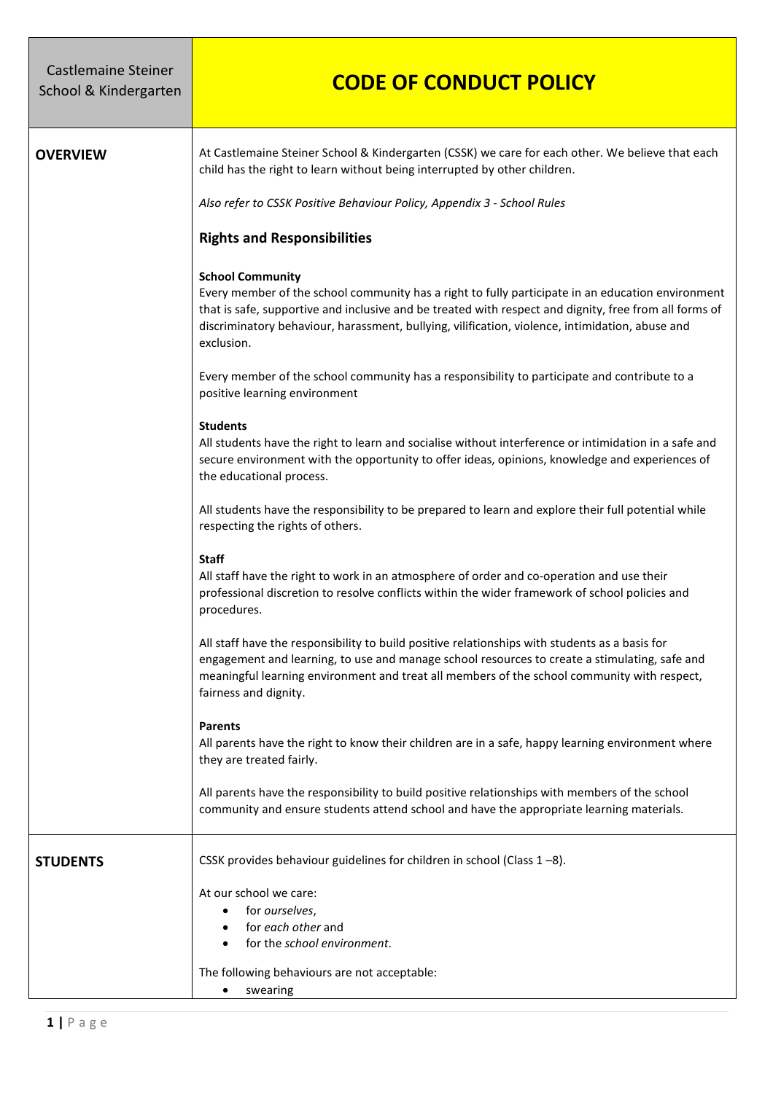| <b>Castlemaine Steiner</b><br>School & Kindergarten | <b>CODE OF CONDUCT POLICY</b>                                                                                                                                                                                                                                                                                                                           |
|-----------------------------------------------------|---------------------------------------------------------------------------------------------------------------------------------------------------------------------------------------------------------------------------------------------------------------------------------------------------------------------------------------------------------|
| <b>OVERVIEW</b>                                     | At Castlemaine Steiner School & Kindergarten (CSSK) we care for each other. We believe that each<br>child has the right to learn without being interrupted by other children.                                                                                                                                                                           |
|                                                     | Also refer to CSSK Positive Behaviour Policy, Appendix 3 - School Rules                                                                                                                                                                                                                                                                                 |
|                                                     | <b>Rights and Responsibilities</b>                                                                                                                                                                                                                                                                                                                      |
|                                                     | <b>School Community</b><br>Every member of the school community has a right to fully participate in an education environment<br>that is safe, supportive and inclusive and be treated with respect and dignity, free from all forms of<br>discriminatory behaviour, harassment, bullying, vilification, violence, intimidation, abuse and<br>exclusion. |
|                                                     | Every member of the school community has a responsibility to participate and contribute to a<br>positive learning environment                                                                                                                                                                                                                           |
|                                                     | <b>Students</b><br>All students have the right to learn and socialise without interference or intimidation in a safe and<br>secure environment with the opportunity to offer ideas, opinions, knowledge and experiences of<br>the educational process.                                                                                                  |
|                                                     | All students have the responsibility to be prepared to learn and explore their full potential while<br>respecting the rights of others.                                                                                                                                                                                                                 |
|                                                     | <b>Staff</b><br>All staff have the right to work in an atmosphere of order and co-operation and use their<br>professional discretion to resolve conflicts within the wider framework of school policies and<br>procedures.                                                                                                                              |
|                                                     | All staff have the responsibility to build positive relationships with students as a basis for<br>engagement and learning, to use and manage school resources to create a stimulating, safe and<br>meaningful learning environment and treat all members of the school community with respect,<br>fairness and dignity.                                 |
|                                                     | <b>Parents</b><br>All parents have the right to know their children are in a safe, happy learning environment where<br>they are treated fairly.                                                                                                                                                                                                         |
|                                                     | All parents have the responsibility to build positive relationships with members of the school<br>community and ensure students attend school and have the appropriate learning materials.                                                                                                                                                              |
| <b>STUDENTS</b>                                     | CSSK provides behaviour guidelines for children in school (Class 1-8).                                                                                                                                                                                                                                                                                  |
|                                                     | At our school we care:<br>for ourselves,<br>for each other and<br>for the school environment.                                                                                                                                                                                                                                                           |
|                                                     | The following behaviours are not acceptable:<br>swearing                                                                                                                                                                                                                                                                                                |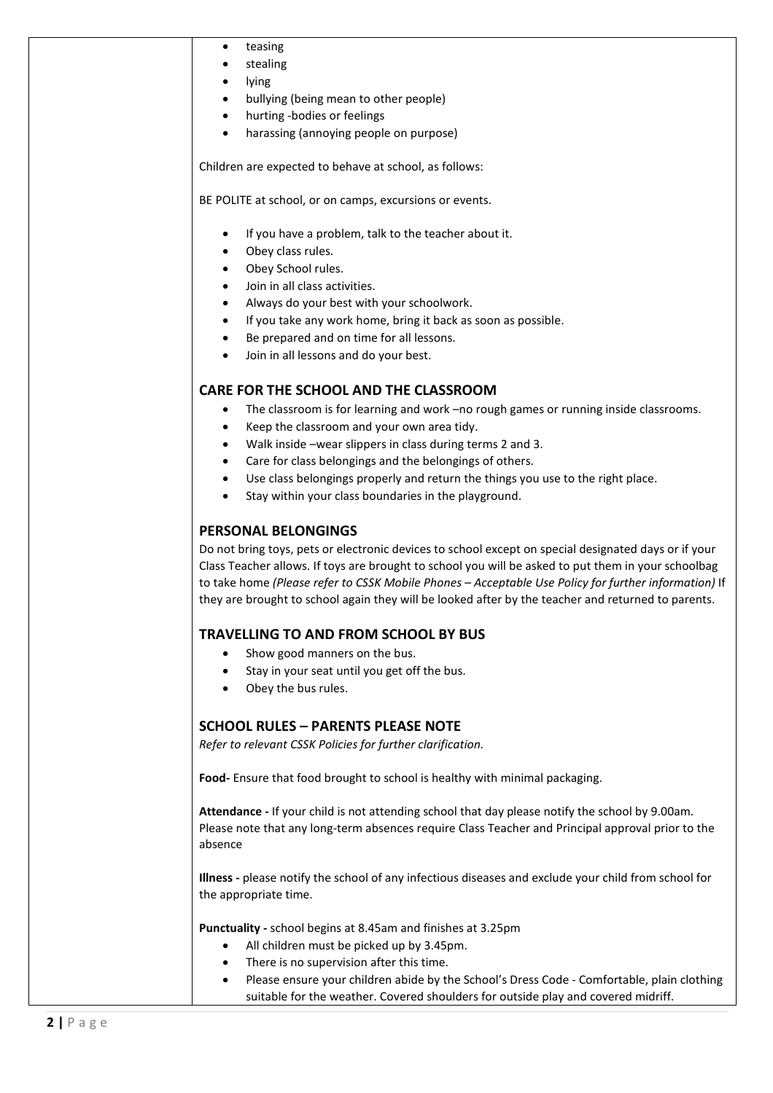| teasing<br>٠                                                                                                                                                                                                                                                                                                                                                                                                              |
|---------------------------------------------------------------------------------------------------------------------------------------------------------------------------------------------------------------------------------------------------------------------------------------------------------------------------------------------------------------------------------------------------------------------------|
| stealing                                                                                                                                                                                                                                                                                                                                                                                                                  |
| lying                                                                                                                                                                                                                                                                                                                                                                                                                     |
| bullying (being mean to other people)<br>$\bullet$                                                                                                                                                                                                                                                                                                                                                                        |
| hurting -bodies or feelings<br>$\bullet$                                                                                                                                                                                                                                                                                                                                                                                  |
| harassing (annoying people on purpose)<br>$\bullet$                                                                                                                                                                                                                                                                                                                                                                       |
| Children are expected to behave at school, as follows:                                                                                                                                                                                                                                                                                                                                                                    |
| BE POLITE at school, or on camps, excursions or events.                                                                                                                                                                                                                                                                                                                                                                   |
| If you have a problem, talk to the teacher about it.<br>$\bullet$                                                                                                                                                                                                                                                                                                                                                         |
| Obey class rules.<br>$\bullet$                                                                                                                                                                                                                                                                                                                                                                                            |
| Obey School rules.<br>$\bullet$                                                                                                                                                                                                                                                                                                                                                                                           |
| Join in all class activities.<br>$\bullet$                                                                                                                                                                                                                                                                                                                                                                                |
| Always do your best with your schoolwork.<br>$\bullet$                                                                                                                                                                                                                                                                                                                                                                    |
| If you take any work home, bring it back as soon as possible.<br>$\bullet$                                                                                                                                                                                                                                                                                                                                                |
| Be prepared and on time for all lessons.                                                                                                                                                                                                                                                                                                                                                                                  |
| Join in all lessons and do your best.                                                                                                                                                                                                                                                                                                                                                                                     |
| CARE FOR THE SCHOOL AND THE CLASSROOM                                                                                                                                                                                                                                                                                                                                                                                     |
| The classroom is for learning and work -no rough games or running inside classrooms.<br>$\bullet$                                                                                                                                                                                                                                                                                                                         |
| Keep the classroom and your own area tidy.<br>$\bullet$                                                                                                                                                                                                                                                                                                                                                                   |
| Walk inside -wear slippers in class during terms 2 and 3.<br>$\bullet$                                                                                                                                                                                                                                                                                                                                                    |
| Care for class belongings and the belongings of others.<br>$\bullet$                                                                                                                                                                                                                                                                                                                                                      |
|                                                                                                                                                                                                                                                                                                                                                                                                                           |
| Use class belongings properly and return the things you use to the right place.<br>$\bullet$                                                                                                                                                                                                                                                                                                                              |
| Stay within your class boundaries in the playground.                                                                                                                                                                                                                                                                                                                                                                      |
| <b>PERSONAL BELONGINGS</b>                                                                                                                                                                                                                                                                                                                                                                                                |
| Do not bring toys, pets or electronic devices to school except on special designated days or if your<br>Class Teacher allows. If toys are brought to school you will be asked to put them in your schoolbag<br>to take home (Please refer to CSSK Mobile Phones - Acceptable Use Policy for further information) If<br>they are brought to school again they will be looked after by the teacher and returned to parents. |
|                                                                                                                                                                                                                                                                                                                                                                                                                           |
| TRAVELLING TO AND FROM SCHOOL BY BUS                                                                                                                                                                                                                                                                                                                                                                                      |
| Show good manners on the bus.<br>$\bullet$                                                                                                                                                                                                                                                                                                                                                                                |
| Stay in your seat until you get off the bus.<br>$\bullet$                                                                                                                                                                                                                                                                                                                                                                 |
| Obey the bus rules.                                                                                                                                                                                                                                                                                                                                                                                                       |
| <b>SCHOOL RULES - PARENTS PLEASE NOTE</b>                                                                                                                                                                                                                                                                                                                                                                                 |
| Refer to relevant CSSK Policies for further clarification.                                                                                                                                                                                                                                                                                                                                                                |
| Food- Ensure that food brought to school is healthy with minimal packaging.                                                                                                                                                                                                                                                                                                                                               |
| Attendance - If your child is not attending school that day please notify the school by 9.00am.<br>Please note that any long-term absences require Class Teacher and Principal approval prior to the<br>absence                                                                                                                                                                                                           |
| Illness - please notify the school of any infectious diseases and exclude your child from school for<br>the appropriate time.                                                                                                                                                                                                                                                                                             |
| Punctuality - school begins at 8.45am and finishes at 3.25pm<br>All children must be picked up by 3.45pm.                                                                                                                                                                                                                                                                                                                 |

- There is no supervision after this time.
- Please ensure your children abide by the School's Dress Code Comfortable, plain clothing suitable for the weather. Covered shoulders for outside play and covered midriff.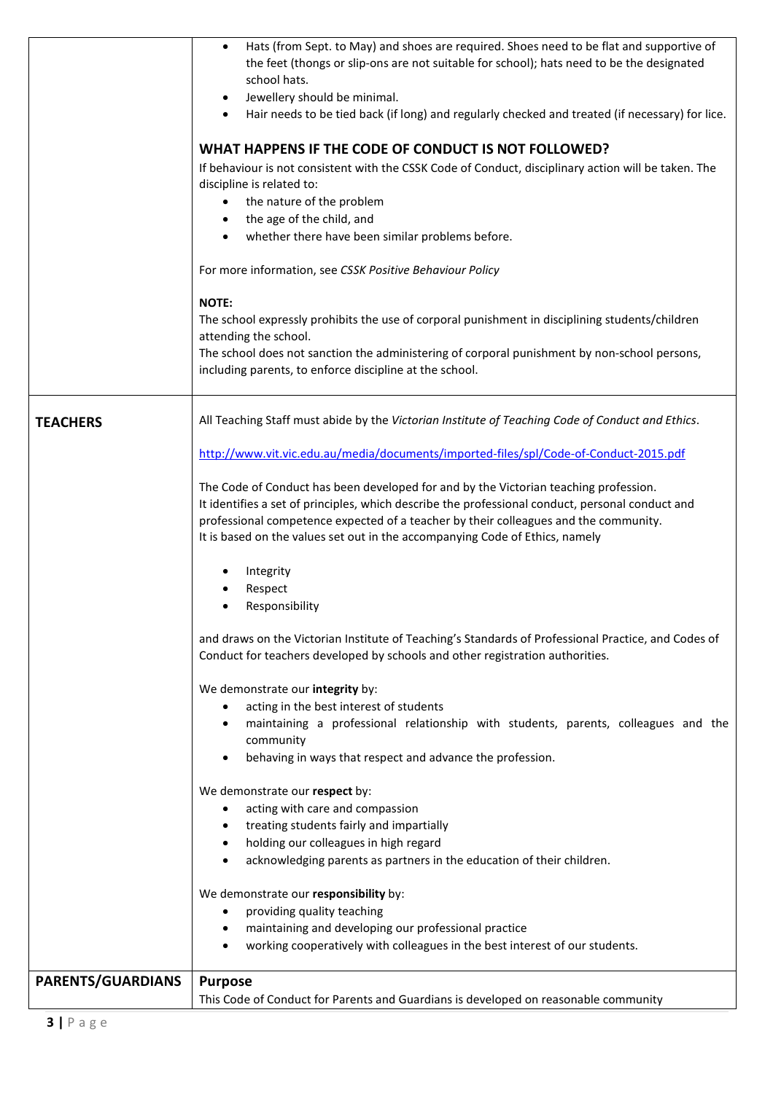|                   | <b>Purpose</b><br>This Code of Conduct for Parents and Guardians is developed on reasonable community                                                                                    |
|-------------------|------------------------------------------------------------------------------------------------------------------------------------------------------------------------------------------|
| PARENTS/GUARDIANS |                                                                                                                                                                                          |
|                   | working cooperatively with colleagues in the best interest of our students.                                                                                                              |
|                   | providing quality teaching<br>maintaining and developing our professional practice                                                                                                       |
|                   | We demonstrate our responsibility by:                                                                                                                                                    |
|                   | acknowledging parents as partners in the education of their children.                                                                                                                    |
|                   | holding our colleagues in high regard                                                                                                                                                    |
|                   | treating students fairly and impartially                                                                                                                                                 |
|                   | acting with care and compassion                                                                                                                                                          |
|                   | We demonstrate our respect by:                                                                                                                                                           |
|                   | behaving in ways that respect and advance the profession.                                                                                                                                |
|                   | community                                                                                                                                                                                |
|                   | maintaining a professional relationship with students, parents, colleagues and the                                                                                                       |
|                   | acting in the best interest of students                                                                                                                                                  |
|                   | We demonstrate our integrity by:                                                                                                                                                         |
|                   | Conduct for teachers developed by schools and other registration authorities.                                                                                                            |
|                   | and draws on the Victorian Institute of Teaching's Standards of Professional Practice, and Codes of                                                                                      |
|                   | Responsibility                                                                                                                                                                           |
|                   | Respect                                                                                                                                                                                  |
|                   | Integrity                                                                                                                                                                                |
|                   | It is based on the values set out in the accompanying Code of Ethics, namely                                                                                                             |
|                   | professional competence expected of a teacher by their colleagues and the community.                                                                                                     |
|                   | The Code of Conduct has been developed for and by the Victorian teaching profession.<br>It identifies a set of principles, which describe the professional conduct, personal conduct and |
|                   |                                                                                                                                                                                          |
|                   | http://www.vit.vic.edu.au/media/documents/imported-files/spl/Code-of-Conduct-2015.pdf                                                                                                    |
| <b>TEACHERS</b>   | All Teaching Staff must abide by the Victorian Institute of Teaching Code of Conduct and Ethics.                                                                                         |
|                   |                                                                                                                                                                                          |
|                   | The school does not sanction the administering of corporal punishment by non-school persons,<br>including parents, to enforce discipline at the school.                                  |
|                   | attending the school.                                                                                                                                                                    |
|                   | <b>NOTE:</b><br>The school expressly prohibits the use of corporal punishment in disciplining students/children                                                                          |
|                   |                                                                                                                                                                                          |
|                   | For more information, see CSSK Positive Behaviour Policy                                                                                                                                 |
|                   | whether there have been similar problems before.<br>$\bullet$                                                                                                                            |
|                   | the age of the child, and                                                                                                                                                                |
|                   | the nature of the problem                                                                                                                                                                |
|                   | If behaviour is not consistent with the CSSK Code of Conduct, disciplinary action will be taken. The<br>discipline is related to:                                                        |
|                   | WHAT HAPPENS IF THE CODE OF CONDUCT IS NOT FOLLOWED?                                                                                                                                     |
|                   |                                                                                                                                                                                          |
|                   | Jewellery should be minimal.<br>$\bullet$<br>Hair needs to be tied back (if long) and regularly checked and treated (if necessary) for lice.                                             |
|                   | school hats.                                                                                                                                                                             |
|                   | the feet (thongs or slip-ons are not suitable for school); hats need to be the designated                                                                                                |
|                   | Hats (from Sept. to May) and shoes are required. Shoes need to be flat and supportive of<br>$\bullet$                                                                                    |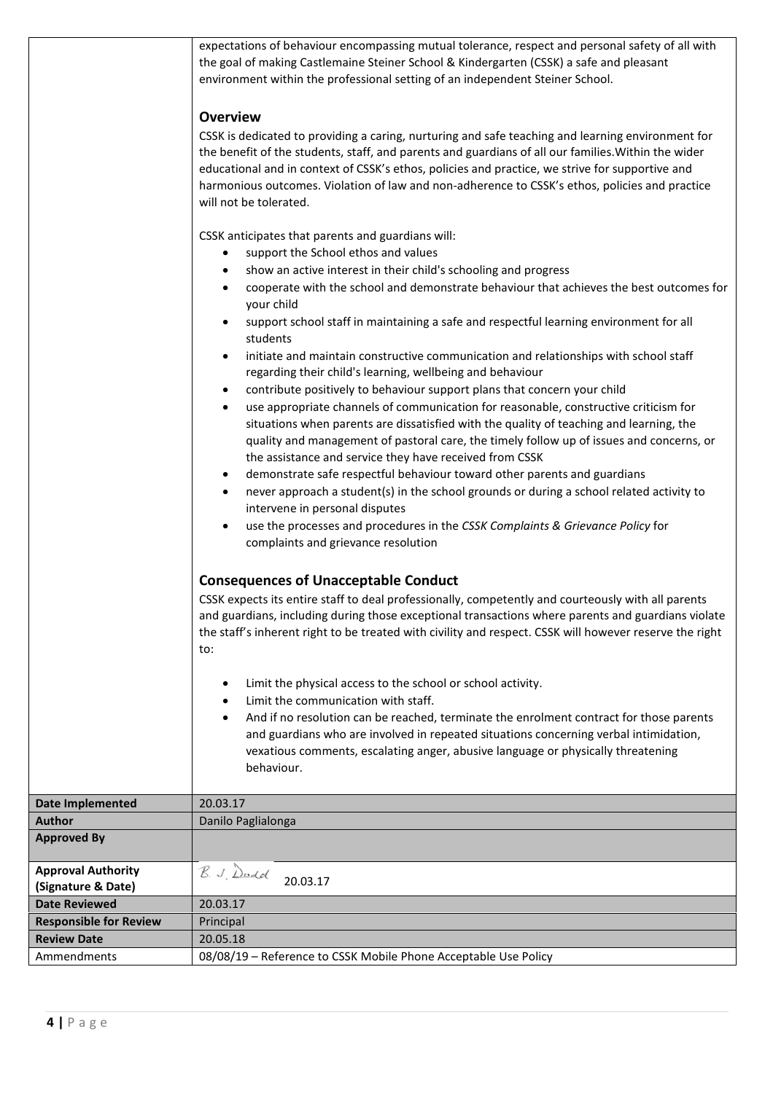expectations of behaviour encompassing mutual tolerance, respect and personal safety of all with the goal of making Castlemaine Steiner School & Kindergarten (CSSK) a safe and pleasant environment within the professional setting of an independent Steiner School.

## **Overview**

CSSK is dedicated to providing a caring, nurturing and safe teaching and learning environment for the benefit of the students, staff, and parents and guardians of all our families.Within the wider educational and in context of CSSK's ethos, policies and practice, we strive for supportive and harmonious outcomes. Violation of law and non-adherence to CSSK's ethos, policies and practice will not be tolerated.

CSSK anticipates that parents and guardians will:

- support the School ethos and values
- show an active interest in their child's schooling and progress
- cooperate with the school and demonstrate behaviour that achieves the best outcomes for your child
- support school staff in maintaining a safe and respectful learning environment for all students
- initiate and maintain constructive communication and relationships with school staff regarding their child's learning, wellbeing and behaviour
- contribute positively to behaviour support plans that concern your child
- use appropriate channels of communication for reasonable, constructive criticism for situations when parents are dissatisfied with the quality of teaching and learning, the quality and management of pastoral care, the timely follow up of issues and concerns, or the assistance and service they have received from CSSK
- demonstrate safe respectful behaviour toward other parents and guardians
- never approach a student(s) in the school grounds or during a school related activity to intervene in personal disputes
- use the processes and procedures in the *CSSK Complaints & Grievance Policy* for complaints and grievance resolution

## **Consequences of Unacceptable Conduct**

CSSK expects its entire staff to deal professionally, competently and courteously with all parents and guardians, including during those exceptional transactions where parents and guardians violate the staff's inherent right to be treated with civility and respect. CSSK will however reserve the right to:

- Limit the physical access to the school or school activity.
- Limit the communication with staff.
- And if no resolution can be reached, terminate the enrolment contract for those parents and guardians who are involved in repeated situations concerning verbal intimidation, vexatious comments, escalating anger, abusive language or physically threatening behaviour.

| Date Implemented              | 20.03.17                                                        |
|-------------------------------|-----------------------------------------------------------------|
| <b>Author</b>                 | Danilo Paglialonga                                              |
| <b>Approved By</b>            |                                                                 |
|                               |                                                                 |
| <b>Approval Authority</b>     | B. J. Dadd                                                      |
| (Signature & Date)            | 20.03.17                                                        |
| <b>Date Reviewed</b>          | 20.03.17                                                        |
| <b>Responsible for Review</b> | Principal                                                       |
| <b>Review Date</b>            | 20.05.18                                                        |
| Ammendments                   | 08/08/19 - Reference to CSSK Mobile Phone Acceptable Use Policy |